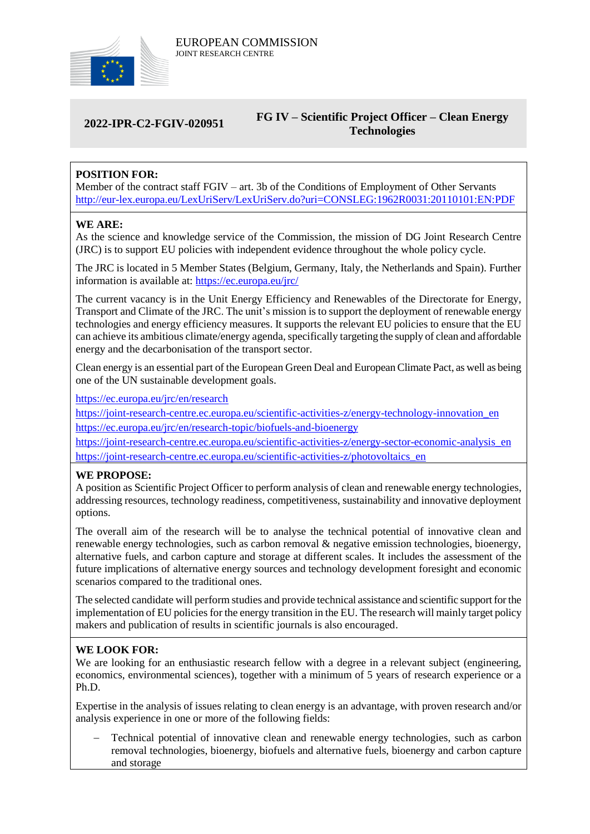

# **2022-IPR-C2-FGIV-020951**

## **FG IV – Scientific Project Officer – Clean Energy Technologies**

# **POSITION FOR:**

Member of the contract staff FGIV – art. 3b of the Conditions of Employment of Other Servants <http://eur-lex.europa.eu/LexUriServ/LexUriServ.do?uri=CONSLEG:1962R0031:20110101:EN:PDF>

#### **WE ARE:**

As the science and knowledge service of the Commission, the mission of DG Joint Research Centre (JRC) is to support EU policies with independent evidence throughout the whole policy cycle.

The JRC is located in 5 Member States (Belgium, Germany, Italy, the Netherlands and Spain). Further information is available at: <https://ec.europa.eu/jrc/>

The current vacancy is in the Unit Energy Efficiency and Renewables of the Directorate for Energy, Transport and Climate of the JRC. The unit's mission is to support the deployment of renewable energy technologies and energy efficiency measures. It supports the relevant EU policies to ensure that the EU can achieve its ambitious climate/energy agenda, specifically targeting the supply of clean and affordable energy and the decarbonisation of the transport sector.

Clean energy is an essential part of the European Green Deal and European Climate Pact, as well as being one of the UN sustainable development goals.

<https://ec.europa.eu/jrc/en/research>

https://joint-research-centre.ec.europa.eu/scientific-activities-z/energy-technology-innovation\_en <https://ec.europa.eu/jrc/en/research-topic/biofuels-and-bioenergy>

https://joint-research-centre.ec.europa.eu/scientific-activities-z/energy-sector-economic-analysis en https://joint-research-centre.ec.europa.eu/scientific-activities-z/photovoltaics\_en

#### **WE PROPOSE:**

A position as Scientific Project Officer to perform analysis of clean and renewable energy technologies, addressing resources, technology readiness, competitiveness, sustainability and innovative deployment options.

The overall aim of the research will be to analyse the technical potential of innovative clean and renewable energy technologies, such as carbon removal & negative emission technologies, bioenergy, alternative fuels, and carbon capture and storage at different scales. It includes the assessment of the future implications of alternative energy sources and technology development foresight and economic scenarios compared to the traditional ones.

The selected candidate will perform studies and provide technical assistance and scientific support for the implementation of EU policies for the energy transition in the EU. The research will mainly target policy makers and publication of results in scientific journals is also encouraged.

### **WE LOOK FOR:**

We are looking for an enthusiastic research fellow with a degree in a relevant subject (engineering, economics, environmental sciences), together with a minimum of 5 years of research experience or a Ph.D.

Expertise in the analysis of issues relating to clean energy is an advantage, with proven research and/or analysis experience in one or more of the following fields:

 Technical potential of innovative clean and renewable energy technologies, such as carbon removal technologies, bioenergy, biofuels and alternative fuels, bioenergy and carbon capture and storage